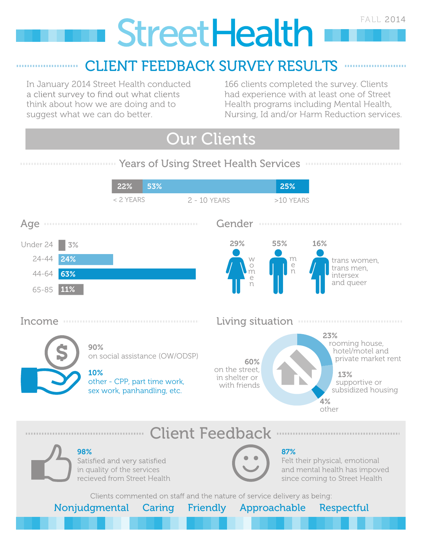# FALL 2014 **StreetHealth**

#### CLIENT FEEDBACK SURVEY RESULTS CLIENT FEEDBACK SURVEY RESULTS

In January 2014 Street Health conducted In January 2014 Street Health conducted a client survey to find out what clients think about how we are doing and to think about how we are doing and to suggest what we can do better. suggest what we can do better.

166 clients completed the survey. Clients 166 clients completed the survey. Clients had experience with at least one of Street had experience with at least one of Street Health programs including Mental Health, Health programs including Mental Health, Nursing, Id and/or Harm Reduction services. Nursing, Id and/or Harm Reduction services.

# Our Clients Our Clients

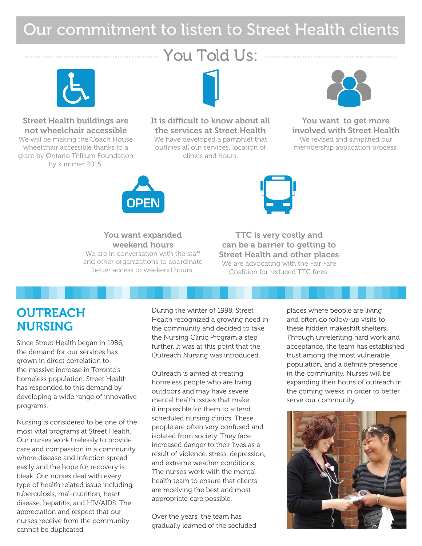# Our commitment to listen to Street Health clients

## You Told Us:



### Street Health buildings are not wheelchair accessible

We will be making the Coach House wheelchair accessible thanks to a grant by Ontario Trillium Foundation by summer 2015.



It is difficult to know about all the services at Street Health We have developed a pamphlet that outlines all our services, location of clinics and hours.



You want to get more involved with Street Health We revised and simplified our membership application process.



You want expanded weekend hours We are in conversation with the staff and other organizations to coordinate better access to weekend hours.



TTC is very costly and can be a barrier to getting to Street Health and other places We are advocating with the Fair Fare Coalition for reduced TTC fares.

## **OUTREACH NURSING**

Since Street Health began in 1986, the demand for our services has grown in direct correlation to the massive increase in Toronto's homeless population. Street Health has responded to this demand by developing a wide range of innovative programs.

Nursing is considered to be one of the most vital programs at Street Health. Our nurses work tirelessly to provide care and compassion in a community where disease and infection spread easily and the hope for recovery is bleak. Our nurses deal with every type of health related issue including, tuberculosis, mal-nutrition, heart disease, hepatitis, and HIV/AIDS. The appreciation and respect that our nurses receive from the community cannot be duplicated.

During the winter of 1998, Street Health recognized a growing need in the community and decided to take the Nursing Clinic Program a step further. It was at this point that the Outreach Nursing was introduced.

Outreach is aimed at treating homeless people who are living outdoors and may have severe mental health issues that make it impossible for them to attend scheduled nursing clinics. These people are often very confused and isolated from society. They face increased danger to their lives as a result of violence, stress, depression, and extreme weather conditions. The nurses work with the mental health team to ensure that clients are receiving the best and most appropriate care possible.

Over the years, the team has gradually learned of the secluded

places where people are living and often do follow-up visits to these hidden makeshift shelters. Through unrelenting hard work and acceptance, the team has established trust among the most vulnerable population, and a definite presence in the community. Nurses will be expanding their hours of outreach in the coming weeks in order to better serve our community.

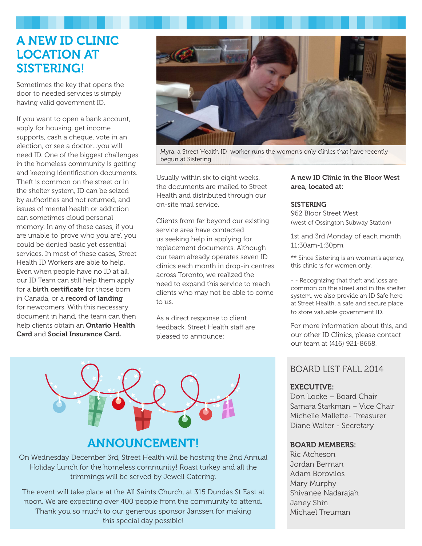## A NEW ID CLINIC LOCATION AT SISTERING!

Sometimes the key that opens the door to needed services is simply having valid government ID.

If you want to open a bank account, apply for housing, get income supports, cash a cheque, vote in an election, or see a doctor…you will need ID. One of the biggest challenges in the homeless community is getting and keeping identification documents. Theft is common on the street or in the shelter system, ID can be seized by authorities and not returned, and issues of mental health or addiction can sometimes cloud personal memory. In any of these cases, if you are unable to 'prove who you are', you could be denied basic yet essential services. In most of these cases, Street Health ID Workers are able to help. Even when people have no ID at all, our ID Team can still help them apply for a **birth certificate** for those born in Canada, or a record of landing for newcomers. With this necessary document in hand, the team can then help clients obtain an **Ontario Health** Card and Social Insurance Card.



Myra, a Street Health ID worker runs the women's only clinics that have recently begun at Sistering.

Usually within six to eight weeks, the documents are mailed to Street Health and distributed through our on-site mail service.

Clients from far beyond our existing service area have contacted us seeking help in applying for replacement documents. Although our team already operates seven ID clinics each month in drop-in centres across Toronto, we realized the need to expand this service to reach clients who may not be able to come to us.

As a direct response to client feedback, Street Health staff are pleased to announce:



#### **SISTERING**

962 Bloor Street West (west of Ossington Subway Station)

1st and 3rd Monday of each month 11:30am-1:30pm

\*\* Since Sistering is an women's agency, this clinic is for women only.

- - Recognizing that theft and loss are common on the street and in the shelter system, we also provide an ID Safe here at Street Health, a safe and secure place to store valuable government ID.

For more information about this, and our other ID Clinics, please contact our team at (416) 921-8668.

### BOARD LIST FALL 2014

#### EXECUTIVE:

Don Locke – Board Chair Samara Starkman – Vice Chair Michelle Mallette- Treasurer Diane Walter - Secretary

#### BOARD MEMBERS:

Ric Atcheson Jordan Berman Adam Borovilos Mary Murphy Shivanee Nadarajah Janey Shin Michael Treuman



## ANNOUNCEMENT!

On Wednesday December 3rd, Street Health will be hosting the 2nd Annual Holiday Lunch for the homeless community! Roast turkey and all the trimmings will be served by Jewell Catering.

The event will take place at the All Saints Church, at 315 Dundas St East at noon. We are expecting over 400 people from the community to attend. Thank you so much to our generous sponsor Janssen for making this special day possible!